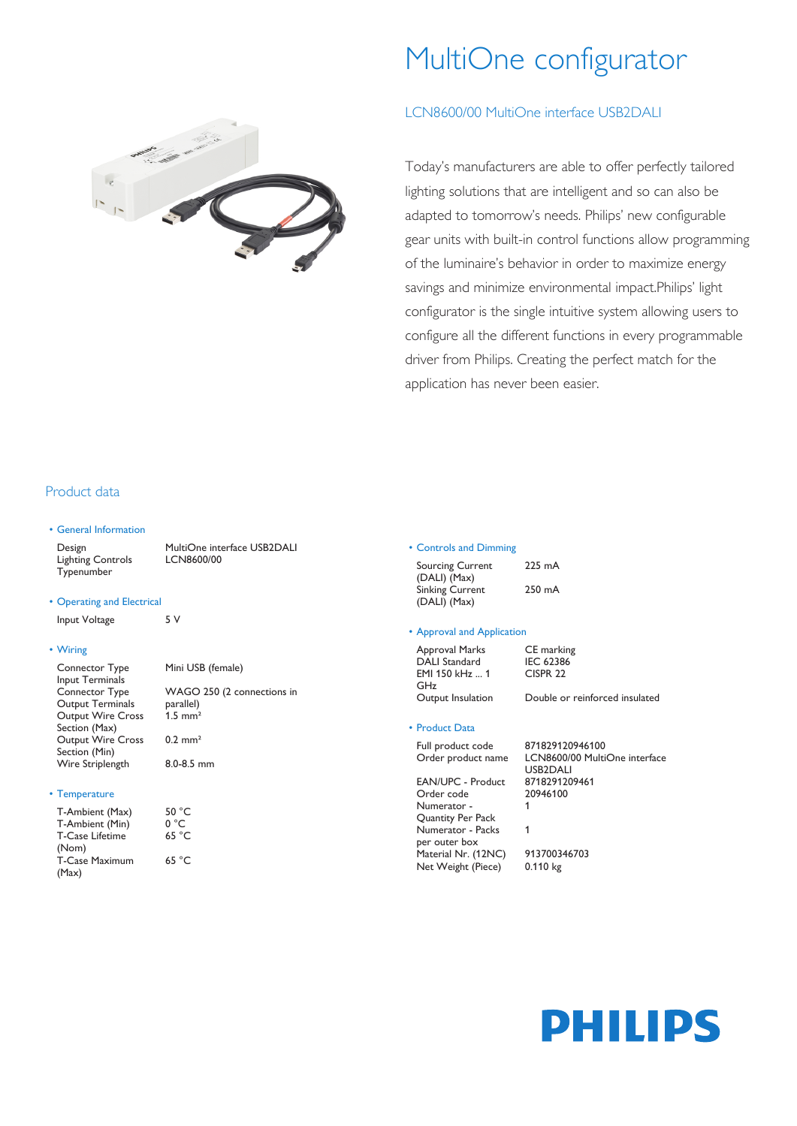## MultiOne configurator

#### LCN8600/00 MultiOne interface USB2DALI

Today's manufacturers are able to offer perfectly tailored lighting solutions that are intelligent and so can also be adapted to tomorrow's needs. Philips' new configurable gear units with built-in control functions allow programming of the luminaire's behavior in order to maximize energy savings and minimize environmental impact.Philips' light configurator is the single intuitive system allowing users to configure all the different functions in every programmable driver from Philips. Creating the perfect match for the application has never been easier.

#### Product data

#### • General Information

Design MultiOne interface USB2DALI Lighting Controls Typenumber LCN8600/00

#### • Operating and Electrical

Input Voltage 5V

#### • Wiring

Connector Type Input Terminals Mini USB (female) Connector Type Output Terminals WAGO 250 (2 connections in parallel) Output Wire Cross Section (Max) 1.5 mm² Output Wire Cross Section (Min) 0.2 mm² Wire Striplength 8.0-8.5 mm

#### • Temperature

| T-Ambient (Max)        | 50 °C |
|------------------------|-------|
| T-Ambient (Min)        | 0 °C  |
| <b>T-Case Lifetime</b> | 65 °C |
| (Nom)                  |       |
| <b>T-Case Maximum</b>  | 65 °C |
| (Max)                  |       |

#### • Controls and Dimming

Sourcing Current (DALI) (Max) 225 mA Sinking Current (DALI) (Max) 250 mA

#### • Approval and Application

CISPR 22

#### • Product Data

Full product code 871829120946100 Order product name LCN8600/00 MultiOne interface USB2DALI EAN/UPC - Product 8718291209461 Order code 20946100 Numerator - Quantity Per Pack 1 Numerator - Packs per outer box 1 Material Nr. (12NC) 913700346703

Net Weight (Piece) 0.110 kg





# GHz<br>Output Insulation

#### Approval Marks CE marking<br>DALI Standard IEC 62386 DALI Standard EMI 150 kHz ... 1

## Double or reinforced insulated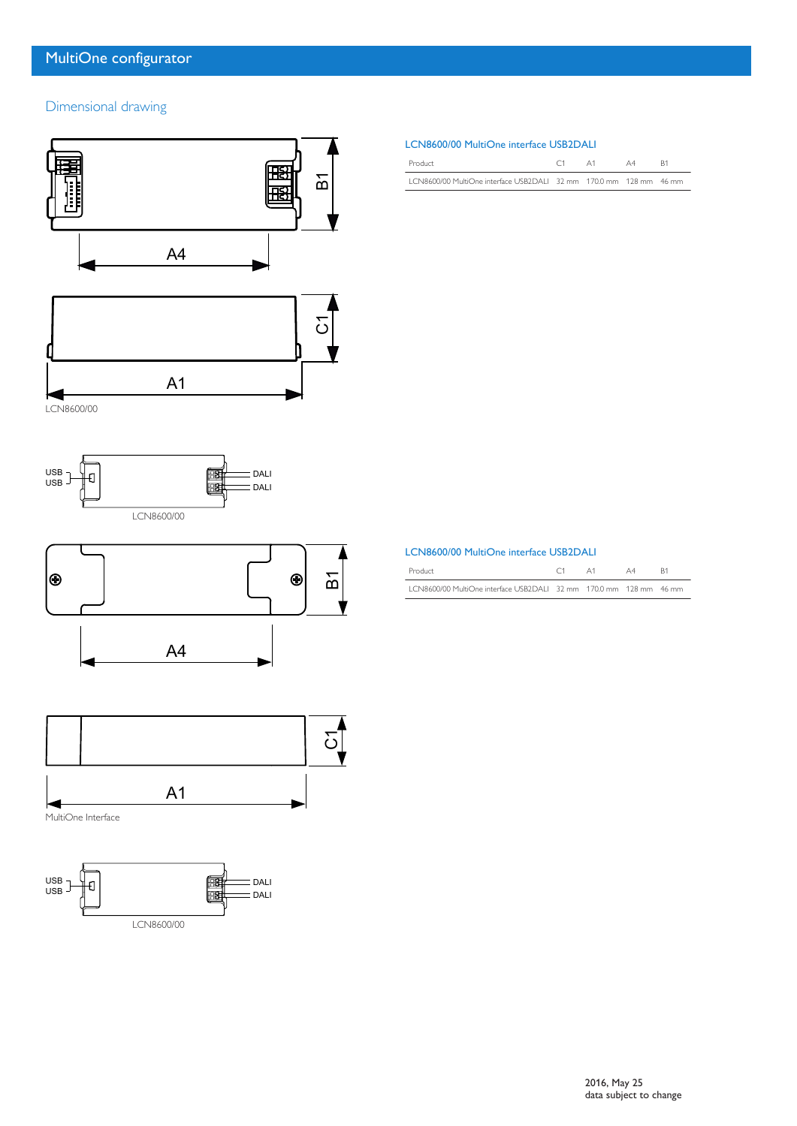### Dimensional drawing









MultiOne Interface



#### LCN8600/00 MultiOne interface USB2DALI

| Product                                                            | A1 | A4 |  |
|--------------------------------------------------------------------|----|----|--|
| 1 CN8600/00 MultiOne interface USB2DAH 32 mm 170.0 mm 128 mm 46 mm |    |    |  |

| LCN8600/00 MultiOne interface USB2DALI |
|----------------------------------------|
|                                        |

| Product                                                            |  |  |
|--------------------------------------------------------------------|--|--|
| LCN8600/00 MultiOne interface USB2DALI 32 mm 170.0 mm 128 mm 46 mm |  |  |